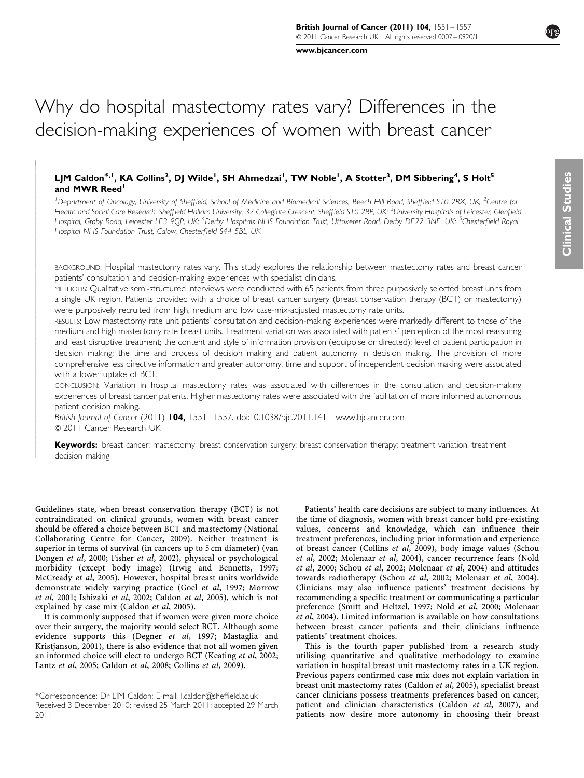[www.bjcancer.com](http://www.bjcancer.com)

# Why do hospital mastectomy rates vary? Differences in the decision-making experiences of women with breast cancer

## LJM Caldon<sup>\*, I</sup>, KA Collins<sup>2</sup>, DJ Wilde<sup>1</sup>, SH Ahmedzai<sup>1</sup>, TW Noble<sup>1</sup>, A Stotter<sup>3</sup>, DM Sibbering<sup>4</sup>, S Holt<sup>5</sup> and MWR Reed<sup>1</sup>

<sup>1</sup> Department of Oncology, University of Sheffield, School of Medicine and Biomedical Sciences, Beech Hill Road, Sheffield S10 2RX, UK; <sup>2</sup> Centre for Health and Social Care Research, Sheffield Hallam University, 32 Collegiate Crescent, Sheffield S10 2BP, UK; <sup>3</sup>University Hospitals of Leicester, Glenfield Hospital, Groby Road, Leicester LE3 9QP, UK; <sup>4</sup>Derby Hospitals NHS Foundation Trust, Uttoxeter Road, Derby DE22 3NE, UK; <sup>5</sup>Chesterfield Roya. Hospital NHS Foundation Trust, Calow, Chesterfield S44 5BL, UK

BACKGROUND: Hospital mastectomy rates vary. This study explores the relationship between mastectomy rates and breast cancer patients' consultation and decision-making experiences with specialist clinicians.

METHODS: Qualitative semi-structured interviews were conducted with 65 patients from three purposively selected breast units from a single UK region. Patients provided with a choice of breast cancer surgery (breast conservation therapy (BCT) or mastectomy) were purposively recruited from high, medium and low case-mix-adjusted mastectomy rate units.

RESULTS: Low mastectomy rate unit patients' consultation and decision-making experiences were markedly different to those of the medium and high mastectomy rate breast units. Treatment variation was associated with patients' perception of the most reassuring and least disruptive treatment; the content and style of information provision (equipoise or directed); level of patient participation in decision making; the time and process of decision making and patient autonomy in decision making. The provision of more comprehensive less directive information and greater autonomy, time and support of independent decision making were associated with a lower uptake of BCT.

CONCLUSION: Variation in hospital mastectomy rates was associated with differences in the consultation and decision-making experiences of breast cancer patients. Higher mastectomy rates were associated with the facilitation of more informed autonomous patient decision making.

British Journal of Cancer (2011) 104,  $1551 - 1557$ . doi:[10.1038/bjc.2011.141](http://dx.doi.org/10.1038/bjc.2011.141) [www.bjcancer.com](http://www.bjcancer.com) & 2011 Cancer Research UK

Keywords: breast cancer; mastectomy; breast conservation surgery; breast conservation therapy; treatment variation; treatment decision making

Guidelines state, when breast conservation therapy (BCT) is not contraindicated on clinical grounds, women with breast cancer should be offered a choice between BCT and mastectomy [\(National](#page-6-0) [Collaborating Centre for Cancer, 2009\)](#page-6-0). Neither treatment is superior in terms of survival (in cancers up to 5 cm diameter) ([van](#page-6-0) [Dongen](#page-6-0) et al, 2000; [Fisher](#page-6-0) et al, 2002), physical or psychological morbidity (except body image) ([Irwig and Bennetts, 1997;](#page-6-0) [McCready](#page-6-0) et al, 2005). However, hospital breast units worldwide demonstrate widely varying practice (Goel et al[, 1997](#page-6-0); [Morrow](#page-6-0) et al[, 2001; Ishizaki](#page-6-0) et al, 2002; [Caldon](#page-6-0) et al, 2005), which is not explained by case mix ([Caldon](#page-6-0) et al, 2005).

-- $\overline{\phantom{a}}$  $\overline{\phantom{a}}$  $\overline{\phantom{a}}$  $\overline{\phantom{a}}$  $\overline{\phantom{a}}$  $\overline{\phantom{a}}$  $\overline{\phantom{a}}$  $\overline{\phantom{a}}$  $\overline{\phantom{a}}$  $\overline{\phantom{a}}$  $\overline{\phantom{a}}$  $\overline{\phantom{a}}$  $\overline{\phantom{a}}$  $\overline{\phantom{a}}$  $\overline{\phantom{a}}$ -- $\overline{\phantom{a}}$  $\overline{\phantom{a}}$  $\overline{\phantom{a}}$  $\overline{\phantom{a}}$  $\overline{\phantom{a}}$  $\overline{\phantom{a}}$  $\overline{\phantom{a}}$  $\overline{\phantom{a}}$  $\overline{\phantom{a}}$  $\overline{\phantom{a}}$  $\overline{\phantom{a}}$  $\overline{\phantom{a}}$  $\overline{\phantom{a}}$  $\overline{\phantom{a}}$  $\overline{\phantom{a}}$  $\overline{\phantom{a}}$  $\overline{\phantom{a}}$  $\overline{\phantom{a}}$  $\overline{\phantom{a}}$  $\overline{\phantom{a}}$  $\overline{\phantom{a}}$  $\overline{\phantom{a}}$  $\overline{\phantom{a}}$  $\overline{\phantom{a}}$  $\overline{\phantom{a}}$  $\overline{\phantom{a}}$  $\overline{\phantom{a}}$  $\overline{\phantom{a}}$  $\overline{\phantom{a}}$  $\overline{\phantom{a}}$  $\overline{\phantom{a}}$  $\overline{\phantom{a}}$  $\overline{\phantom{a}}$  $\overline{\phantom{a}}$  $\overline{\phantom{a}}$  $\overline{\phantom{a}}$  $\overline{\phantom{a}}$  $\overline{\phantom{a}}$  $\overline{\phantom{a}}$ 

It is commonly supposed that if women were given more choice over their surgery, the majority would select BCT. Although some evidence supports this [\(Degner](#page-6-0) et al, 1997; [Mastaglia and](#page-6-0) [Kristjanson, 2001\)](#page-6-0), there is also evidence that not all women given an informed choice will elect to undergo BCT [\(Keating](#page-6-0) et al, 2002; Lantz et al[, 2005; Caldon](#page-6-0) et al, 2008; [Collins](#page-6-0) et al, 2009).

Patients' health care decisions are subject to many influences. At the time of diagnosis, women with breast cancer hold pre-existing values, concerns and knowledge, which can influence their treatment preferences, including prior information and experience of breast cancer [\(Collins](#page-6-0) et al, 2009), body image values [\(Schou](#page-6-0) et al[, 2002](#page-6-0); [Molenaar](#page-6-0) et al, 2004), cancer recurrence fears ([Nold](#page-6-0) et al[, 2000](#page-6-0); [Schou](#page-6-0) et al, 2002; [Molenaar](#page-6-0) et al, 2004) and attitudes towards radiotherapy (Schou et al[, 2002](#page-6-0); [Molenaar](#page-6-0) et al, 2004). Clinicians may also influence patients' treatment decisions by recommending a specific treatment or communicating a particular preference [\(Smitt and Heltzel, 1997](#page-6-0); Nold et al[, 2000; Molenaar](#page-6-0) et al[, 2004\)](#page-6-0). Limited information is available on how consultations between breast cancer patients and their clinicians influence patients' treatment choices.

This is the fourth paper published from a research study utilising quantitative and qualitative methodology to examine variation in hospital breast unit mastectomy rates in a UK region. Previous papers confirmed case mix does not explain variation in breast unit mastectomy rates ([Caldon](#page-6-0) et al, 2005), specialist breast cancer clinicians possess treatments preferences based on cancer, patient and clinician characteristics ([Caldon](#page-6-0) et al, 2007), and patients now desire more autonomy in choosing their breast



Received 3 December 2010; revised 25 March 2011; accepted 29 March 2011 \*Correspondence: Dr LJM Caldon; E-mail: [l.caldon@sheffield.ac.uk](mailto:l.caldon@sheffield.ac.uk)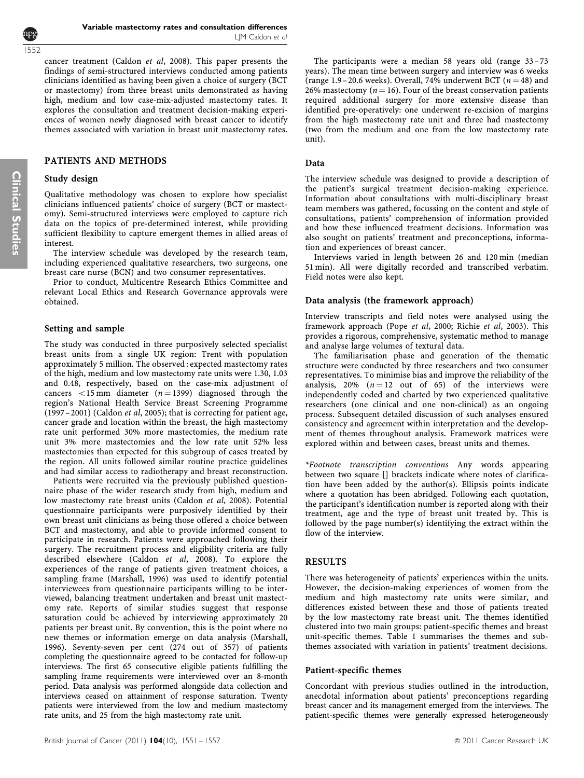

Variable mastectomy rates and consultation differences LJM Caldon et al

cancer treatment ([Caldon](#page-6-0) et al, 2008). This paper presents the findings of semi-structured interviews conducted among patients clinicians identified as having been given a choice of surgery (BCT or mastectomy) from three breast units demonstrated as having high, medium and low case-mix-adjusted mastectomy rates. It explores the consultation and treatment decision-making experiences of women newly diagnosed with breast cancer to identify themes associated with variation in breast unit mastectomy rates.

### PATIENTS AND METHODS

#### Study design

Qualitative methodology was chosen to explore how specialist clinicians influenced patients' choice of surgery (BCT or mastectomy). Semi-structured interviews were employed to capture rich data on the topics of pre-determined interest, while providing sufficient flexibility to capture emergent themes in allied areas of interest.

The interview schedule was developed by the research team, including experienced qualitative researchers, two surgeons, one breast care nurse (BCN) and two consumer representatives.

Prior to conduct, Multicentre Research Ethics Committee and relevant Local Ethics and Research Governance approvals were obtained.

#### Setting and sample

The study was conducted in three purposively selected specialist breast units from a single UK region: Trent with population approximately 5 million. The observed : expected mastectomy rates of the high, medium and low mastectomy rate units were 1.30, 1.03 and 0.48, respectively, based on the case-mix adjustment of cancers  $\langle 15 \text{ mm}$  diameter (n = 1399) diagnosed through the region's National Health Service Breast Screening Programme (1997 –2001) [\(Caldon](#page-6-0) et al, 2005); that is correcting for patient age, cancer grade and location within the breast, the high mastectomy rate unit performed 30% more mastectomies, the medium rate unit 3% more mastectomies and the low rate unit 52% less mastectomies than expected for this subgroup of cases treated by the region. All units followed similar routine practice guidelines and had similar access to radiotherapy and breast reconstruction.

Patients were recruited via the previously published questionnaire phase of the wider research study from high, medium and low mastectomy rate breast units ([Caldon](#page-6-0) et al, 2008). Potential questionnaire participants were purposively identified by their own breast unit clinicians as being those offered a choice between BCT and mastectomy, and able to provide informed consent to participate in research. Patients were approached following their surgery. The recruitment process and eligibility criteria are fully described elsewhere (Caldon et al[, 2008\)](#page-6-0). To explore the experiences of the range of patients given treatment choices, a sampling frame ([Marshall, 1996\)](#page-6-0) was used to identify potential interviewees from questionnaire participants willing to be interviewed, balancing treatment undertaken and breast unit mastectomy rate. Reports of similar studies suggest that response saturation could be achieved by interviewing approximately 20 patients per breast unit. By convention, this is the point where no new themes or information emerge on data analysis ([Marshall,](#page-6-0) [1996\)](#page-6-0). Seventy-seven per cent (274 out of 357) of patients completing the questionnaire agreed to be contacted for follow-up interviews. The first 65 consecutive eligible patients fulfilling the sampling frame requirements were interviewed over an 8-month period. Data analysis was performed alongside data collection and interviews ceased on attainment of response saturation. Twenty patients were interviewed from the low and medium mastectomy rate units, and 25 from the high mastectomy rate unit.

The participants were a median 58 years old (range 33 –73 years). The mean time between surgery and interview was 6 weeks (range 1.9 – 20.6 weeks). Overall, 74% underwent BCT ( $n = 48$ ) and 26% mastectomy ( $n = 16$ ). Four of the breast conservation patients required additional surgery for more extensive disease than identified pre-operatively: one underwent re-excision of margins from the high mastectomy rate unit and three had mastectomy (two from the medium and one from the low mastectomy rate unit).

#### Data

The interview schedule was designed to provide a description of the patient's surgical treatment decision-making experience. Information about consultations with multi-disciplinary breast team members was gathered, focussing on the content and style of consultations, patients' comprehension of information provided and how these influenced treatment decisions. Information was also sought on patients' treatment and preconceptions, information and experiences of breast cancer.

Interviews varied in length between 26 and 120 min (median 51 min). All were digitally recorded and transcribed verbatim. Field notes were also kept.

#### Data analysis (the framework approach)

Interview transcripts and field notes were analysed using the framework approach (Pope et al[, 2000](#page-6-0); [Richie](#page-6-0) et al, 2003). This provides a rigorous, comprehensive, systematic method to manage and analyse large volumes of textural data.

The familiarisation phase and generation of the thematic structure were conducted by three researchers and two consumer representatives. To minimise bias and improve the reliability of the analysis, 20% ( $n = 12$  out of 65) of the interviews were independently coded and charted by two experienced qualitative researchers (one clinical and one non-clinical) as an ongoing process. Subsequent detailed discussion of such analyses ensured consistency and agreement within interpretation and the development of themes throughout analysis. Framework matrices were explored within and between cases, breast units and themes.

\*Footnote transcription conventions Any words appearing between two square [] brackets indicate where notes of clarification have been added by the author(s). Ellipsis points indicate where a quotation has been abridged. Following each quotation, the participant's identification number is reported along with their treatment, age and the type of breast unit treated by. This is followed by the page number(s) identifying the extract within the flow of the interview.

#### RESULTS

There was heterogeneity of patients' experiences within the units. However, the decision-making experiences of women from the medium and high mastectomy rate units were similar, and differences existed between these and those of patients treated by the low mastectomy rate breast unit. The themes identified clustered into two main groups: patient-specific themes and breast unit-specific themes. [Table 1](#page-2-0) summarises the themes and subthemes associated with variation in patients' treatment decisions.

#### Patient-specific themes

Concordant with previous studies outlined in the introduction, anecdotal information about patients' preconceptions regarding breast cancer and its management emerged from the interviews. The patient-specific themes were generally expressed heterogeneously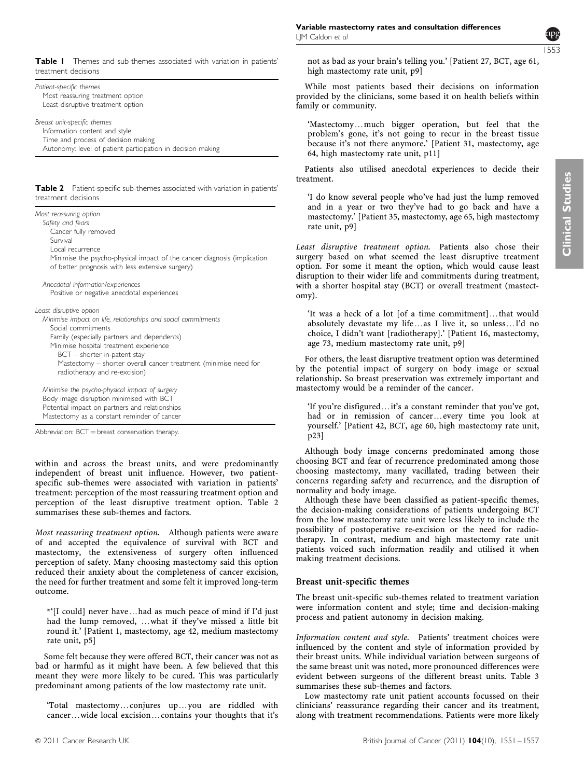

**Clinical Studies** Clinical Studies

<span id="page-2-0"></span>Table I Themes and sub-themes associated with variation in patients' treatment decisions

Patient-specific themes Most reassuring treatment option Least disruptive treatment option

Breast unit-specific themes

Information content and style Time and process of decision making Autonomy: level of patient participation in decision making

Table 2 Patient-specific sub-themes associated with variation in patients' treatment decisions

| Most reassuring option<br>Safety and fears<br>Cancer fully removed<br>Survival                                                                                                                                                                                                                                                                 |
|------------------------------------------------------------------------------------------------------------------------------------------------------------------------------------------------------------------------------------------------------------------------------------------------------------------------------------------------|
| Local recurrence<br>Minimise the psycho-physical impact of the cancer diagnosis (implication<br>of better prognosis with less extensive surgery)                                                                                                                                                                                               |
| Anecdotal information/experiences<br>Positive or negative anecdotal experiences                                                                                                                                                                                                                                                                |
| Least disruptive option<br>Minimise impact on life, relationships and social commitments<br>Social commitments<br>Family (especially partners and dependents)<br>Minimise hospital treatment experience<br>$BCT - shorter$ in-patent stay<br>Mastectomy – shorter overall cancer treatment (minimise need for<br>radiotherapy and re-excision) |
| Minimise the psycho-physical impact of surgery<br>Body image disruption minimised with BCT<br>Potential impact on partners and relationships<br>Mastectomy as a constant reminder of cancer                                                                                                                                                    |
| Abbreviation: BCT = breast conservation therapy.                                                                                                                                                                                                                                                                                               |

within and across the breast units, and were predominantly independent of breast unit influence. However, two patientspecific sub-themes were associated with variation in patients' treatment: perception of the most reassuring treatment option and perception of the least disruptive treatment option. Table 2 summarises these sub-themes and factors.

Most reassuring treatment option. Although patients were aware of and accepted the equivalence of survival with BCT and mastectomy, the extensiveness of surgery often influenced perception of safety. Many choosing mastectomy said this option reduced their anxiety about the completeness of cancer excision, the need for further treatment and some felt it improved long-term outcome.

\*'[I could] never have...had as much peace of mind if I'd just had the lump removed, ...what if they've missed a little bit round it.' [Patient 1, mastectomy, age 42, medium mastectomy rate unit, p5]

Some felt because they were offered BCT, their cancer was not as bad or harmful as it might have been. A few believed that this meant they were more likely to be cured. This was particularly predominant among patients of the low mastectomy rate unit.

'Total mastectomy...conjures up...you are riddled with cancer...wide local excision...contains your thoughts that it's not as bad as your brain's telling you.' [Patient 27, BCT, age 61, high mastectomy rate unit, p9]

While most patients based their decisions on information provided by the clinicians, some based it on health beliefs within family or community.

'Mastectomy...much bigger operation, but feel that the problem's gone, it's not going to recur in the breast tissue because it's not there anymore.' [Patient 31, mastectomy, age 64, high mastectomy rate unit, p11]

Patients also utilised anecdotal experiences to decide their treatment.

'I do know several people who've had just the lump removed and in a year or two they've had to go back and have a mastectomy.' [Patient 35, mastectomy, age 65, high mastectomy rate unit, p9]

Least disruptive treatment option. Patients also chose their surgery based on what seemed the least disruptive treatment option. For some it meant the option, which would cause least disruption to their wider life and commitments during treatment, with a shorter hospital stay (BCT) or overall treatment (mastectomy).

'It was a heck of a lot [of a time commitment]...that would absolutely devastate my life...as I live it, so unless...I'd no choice, I didn't want [radiotherapy].' [Patient 16, mastectomy, age 73, medium mastectomy rate unit, p9]

For others, the least disruptive treatment option was determined by the potential impact of surgery on body image or sexual relationship. So breast preservation was extremely important and mastectomy would be a reminder of the cancer.

'If you're disfigured...it's a constant reminder that you've got, had or in remission of cancer...every time you look at yourself.' [Patient 42, BCT, age 60, high mastectomy rate unit, p23]

Although body image concerns predominated among those choosing BCT and fear of recurrence predominated among those choosing mastectomy, many vacillated, trading between their concerns regarding safety and recurrence, and the disruption of normality and body image.

Although these have been classified as patient-specific themes, the decision-making considerations of patients undergoing BCT from the low mastectomy rate unit were less likely to include the possibility of postoperative re-excision or the need for radiotherapy. In contrast, medium and high mastectomy rate unit patients voiced such information readily and utilised it when making treatment decisions.

### Breast unit-specific themes

The breast unit-specific sub-themes related to treatment variation were information content and style; time and decision-making process and patient autonomy in decision making.

Information content and style. Patients' treatment choices were influenced by the content and style of information provided by their breast units. While individual variation between surgeons of the same breast unit was noted, more pronounced differences were evident between surgeons of the different breast units. [Table 3](#page-3-0) summarises these sub-themes and factors.

Low mastectomy rate unit patient accounts focussed on their clinicians' reassurance regarding their cancer and its treatment, along with treatment recommendations. Patients were more likely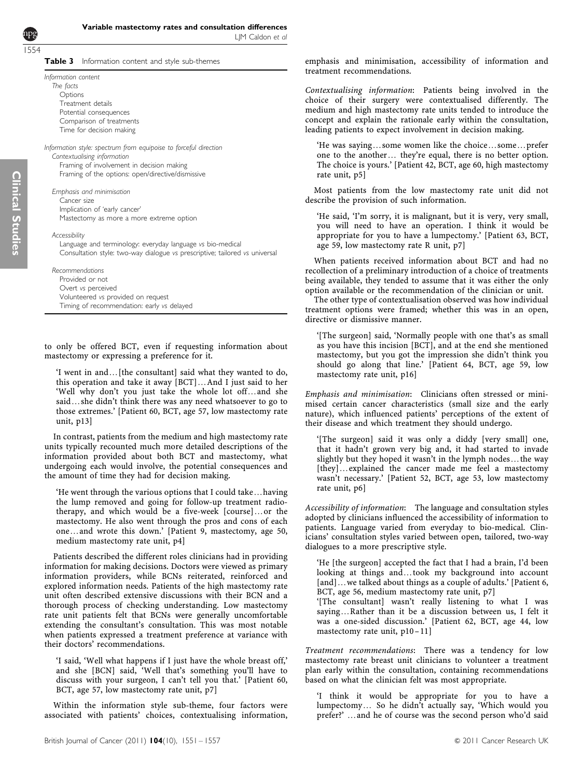LJM Caldon et al

<span id="page-3-0"></span>Table 3 Information content and style sub-themes 1554

#### Information content

The facts Options Treatment details Potential consequences Comparison of treatments Time for decision making

Information style: spectrum from equipoise to forceful direction Contextualising information

Framing of involvement in decision making Framing of the options: open/directive/dismissive

Emphasis and minimisation Cancer size Implication of 'early cancer' Mastectomy as more a more extreme option

Accessibility

Language and terminology: everyday language vs bio-medical Consultation style: two-way dialogue vs prescriptive; tailored vs universal

Recommendations

Provided or not Overt vs perceived Volunteered vs provided on request Timing of recommendation: early vs delayed

to only be offered BCT, even if requesting information about mastectomy or expressing a preference for it.

'I went in and...[the consultant] said what they wanted to do, this operation and take it away [BCT]... And I just said to her 'Well why don't you just take the whole lot off...and she said...she didn't think there was any need whatsoever to go to those extremes.' [Patient 60, BCT, age 57, low mastectomy rate unit, p13]

In contrast, patients from the medium and high mastectomy rate units typically recounted much more detailed descriptions of the information provided about both BCT and mastectomy, what undergoing each would involve, the potential consequences and the amount of time they had for decision making.

'He went through the various options that I could take...having the lump removed and going for follow-up treatment radiotherapy, and which would be a five-week  $[course]...$  or the mastectomy. He also went through the pros and cons of each one... and wrote this down.' [Patient 9, mastectomy, age 50, medium mastectomy rate unit, p4]

Patients described the different roles clinicians had in providing information for making decisions. Doctors were viewed as primary information providers, while BCNs reiterated, reinforced and explored information needs. Patients of the high mastectomy rate unit often described extensive discussions with their BCN and a thorough process of checking understanding. Low mastectomy rate unit patients felt that BCNs were generally uncomfortable extending the consultant's consultation. This was most notable when patients expressed a treatment preference at variance with their doctors' recommendations.

'I said, 'Well what happens if I just have the whole breast off,' and she [BCN] said, 'Well that's something you'll have to discuss with your surgeon, I can't tell you that.' [Patient 60, BCT, age 57, low mastectomy rate unit, p7]

Within the information style sub-theme, four factors were associated with patients' choices, contextualising information, emphasis and minimisation, accessibility of information and treatment recommendations.

Contextualising information: Patients being involved in the choice of their surgery were contextualised differently. The medium and high mastectomy rate units tended to introduce the concept and explain the rationale early within the consultation, leading patients to expect involvement in decision making.

'He was saying...some women like the choice...some...prefer one to the another... they're equal, there is no better option. The choice is yours.' [Patient 42, BCT, age 60, high mastectomy rate unit, p5]

Most patients from the low mastectomy rate unit did not describe the provision of such information.

'He said, 'I'm sorry, it is malignant, but it is very, very small, you will need to have an operation. I think it would be appropriate for you to have a lumpectomy.' [Patient 63, BCT, age 59, low mastectomy rate R unit, p7]

When patients received information about BCT and had no recollection of a preliminary introduction of a choice of treatments being available, they tended to assume that it was either the only option available or the recommendation of the clinician or unit.

The other type of contextualisation observed was how individual treatment options were framed; whether this was in an open, directive or dismissive manner.

'[The surgeon] said, 'Normally people with one that's as small as you have this incision [BCT], and at the end she mentioned mastectomy, but you got the impression she didn't think you should go along that line.' [Patient 64, BCT, age 59, low mastectomy rate unit, p16]

Emphasis and minimisation: Clinicians often stressed or minimised certain cancer characteristics (small size and the early nature), which influenced patients' perceptions of the extent of their disease and which treatment they should undergo.

'[The surgeon] said it was only a diddy [very small] one, that it hadn't grown very big and, it had started to invade slightly but they hoped it wasn't in the lymph nodes...the way [they]...explained the cancer made me feel a mastectomy wasn't necessary.' [Patient 52, BCT, age 53, low mastectomy rate unit, p6]

Accessibility of information: The language and consultation styles adopted by clinicians influenced the accessibility of information to patients. Language varied from everyday to bio-medical. Clinicians' consultation styles varied between open, tailored, two-way dialogues to a more prescriptive style.

'He [the surgeon] accepted the fact that I had a brain, I'd been looking at things and...took my background into account [and]... we talked about things as a couple of adults.' [Patient 6, BCT, age 56, medium mastectomy rate unit, p7]

'[The consultant] wasn't really listening to what I was saying...Rather than it be a discussion between us, I felt it was a one-sided discussion.' [Patient 62, BCT, age 44, low mastectomy rate unit, p10-11]

Treatment recommendations: There was a tendency for low mastectomy rate breast unit clinicians to volunteer a treatment plan early within the consultation, containing recommendations based on what the clinician felt was most appropriate.

'I think it would be appropriate for you to have a lumpectomy... So he didn't actually say, 'Which would you prefer?' ... and he of course was the second person who'd said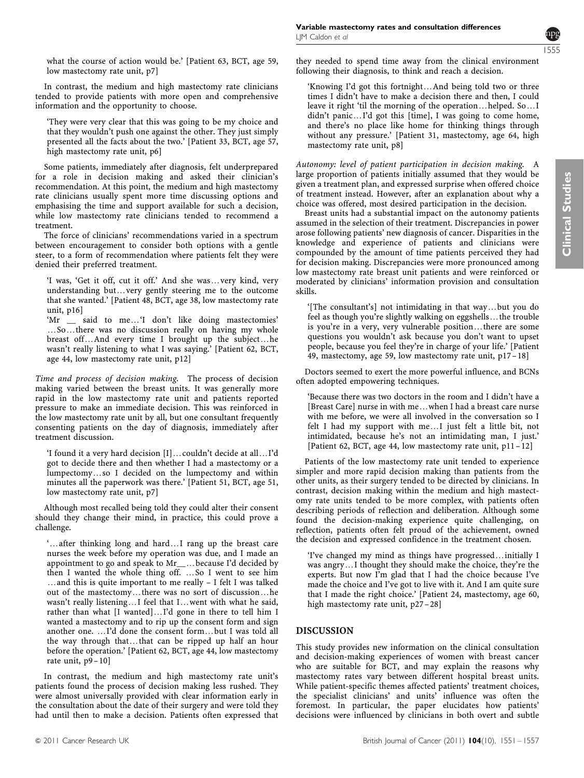**Clinical Studies** Clinical Studies

what the course of action would be.' [Patient 63, BCT, age 59, low mastectomy rate unit, p7]

In contrast, the medium and high mastectomy rate clinicians tended to provide patients with more open and comprehensive information and the opportunity to choose.

'They were very clear that this was going to be my choice and that they wouldn't push one against the other. They just simply presented all the facts about the two.' [Patient 33, BCT, age 57, high mastectomy rate unit, p6]

Some patients, immediately after diagnosis, felt underprepared for a role in decision making and asked their clinician's recommendation. At this point, the medium and high mastectomy rate clinicians usually spent more time discussing options and emphasising the time and support available for such a decision, while low mastectomy rate clinicians tended to recommend a treatment.

The force of clinicians' recommendations varied in a spectrum between encouragement to consider both options with a gentle steer, to a form of recommendation where patients felt they were denied their preferred treatment.

'I was, 'Get it off, cut it off.' And she was...very kind, very understanding but...very gently steering me to the outcome that she wanted.' [Patient 48, BCT, age 38, low mastectomy rate unit, p16]

'Mr \_ said to me...'I don't like doing mastectomies' ...So...there was no discussion really on having my whole breast off...And every time I brought up the subject...he wasn't really listening to what I was saying.' [Patient 62, BCT, age 44, low mastectomy rate unit, p12]

Time and process of decision making. The process of decision making varied between the breast units. It was generally more rapid in the low mastectomy rate unit and patients reported pressure to make an immediate decision. This was reinforced in the low mastectomy rate unit by all, but one consultant frequently consenting patients on the day of diagnosis, immediately after treatment discussion.

'I found it a very hard decision [I]... couldn't decide at all...I'd got to decide there and then whether I had a mastectomy or a lumpectomy...so I decided on the lumpectomy and within minutes all the paperwork was there.' [Patient 51, BCT, age 51, low mastectomy rate unit, p7]

Although most recalled being told they could alter their consent should they change their mind, in practice, this could prove a challenge.

'... after thinking long and hard... I rang up the breast care nurses the week before my operation was due, and I made an appointment to go and speak to Mr\_\_...because I'd decided by then I wanted the whole thing off. ... So I went to see him ... and this is quite important to me really - I felt I was talked out of the mastectomy...there was no sort of discussion...he wasn't really listening...I feel that I...went with what he said, rather than what [I wanted]...I'd gone in there to tell him I wanted a mastectomy and to rip up the consent form and sign another one. ...I'd done the consent form...but I was told all the way through that...that can be ripped up half an hour before the operation.' [Patient 62, BCT, age 44, low mastectomy rate unit, p9 –10]

In contrast, the medium and high mastectomy rate unit's patients found the process of decision making less rushed. They were almost universally provided with clear information early in the consultation about the date of their surgery and were told they had until then to make a decision. Patients often expressed that they needed to spend time away from the clinical environment following their diagnosis, to think and reach a decision.

'Knowing I'd got this fortnight...And being told two or three times I didn't have to make a decision there and then, I could leave it right 'til the morning of the operation...helped. So...I didn't panic...I'd got this [time], I was going to come home, and there's no place like home for thinking things through without any pressure.' [Patient 31, mastectomy, age 64, high mastectomy rate unit, p8]

Autonomy: level of patient participation in decision making. A large proportion of patients initially assumed that they would be given a treatment plan, and expressed surprise when offered choice of treatment instead. However, after an explanation about why a choice was offered, most desired participation in the decision.

Breast units had a substantial impact on the autonomy patients assumed in the selection of their treatment. Discrepancies in power arose following patients' new diagnosis of cancer. Disparities in the knowledge and experience of patients and clinicians were compounded by the amount of time patients perceived they had for decision making. Discrepancies were more pronounced among low mastectomy rate breast unit patients and were reinforced or moderated by clinicians' information provision and consultation skills.

'[The consultant's] not intimidating in that way...but you do feel as though you're slightly walking on eggshells...the trouble is you're in a very, very vulnerable position...there are some questions you wouldn't ask because you don't want to upset people, because you feel they're in charge of your life.' [Patient 49, mastectomy, age 59, low mastectomy rate unit, p17 –18]

Doctors seemed to exert the more powerful influence, and BCNs often adopted empowering techniques.

'Because there was two doctors in the room and I didn't have a [Breast Care] nurse in with me...when I had a breast care nurse with me before, we were all involved in the conversation so I felt I had my support with  $me...I$  just felt a little bit, not intimidated, because he's not an intimidating man, I just.' [Patient 62, BCT, age 44, low mastectomy rate unit, p11 –12]

Patients of the low mastectomy rate unit tended to experience simpler and more rapid decision making than patients from the other units, as their surgery tended to be directed by clinicians. In contrast, decision making within the medium and high mastectomy rate units tended to be more complex, with patients often describing periods of reflection and deliberation. Although some found the decision-making experience quite challenging, on reflection, patients often felt proud of the achievement, owned the decision and expressed confidence in the treatment chosen.

'I've changed my mind as things have progressed...initially I was angry...I thought they should make the choice, they're the experts. But now I'm glad that I had the choice because I've made the choice and I've got to live with it. And I am quite sure that I made the right choice.' [Patient 24, mastectomy, age 60, high mastectomy rate unit, p27-28]

# DISCUSSION

This study provides new information on the clinical consultation and decision-making experiences of women with breast cancer who are suitable for BCT, and may explain the reasons why mastectomy rates vary between different hospital breast units. While patient-specific themes affected patients' treatment choices, the specialist clinicians' and units' influence was often the foremost. In particular, the paper elucidates how patients' decisions were influenced by clinicians in both overt and subtle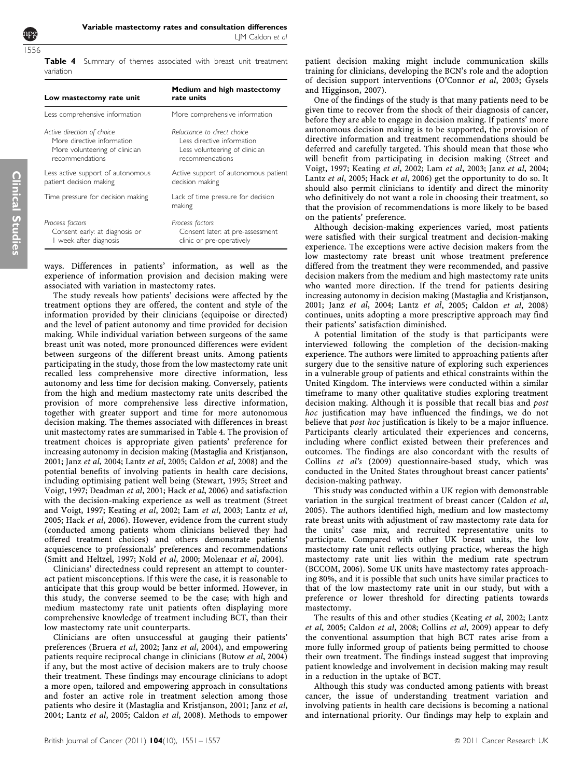LJM Caldon et al

1556

Table 4 Summary of themes associated with breast unit treatment variation

| Low mastectomy rate unit          | Medium and high mastectomy<br>rate units     |
|-----------------------------------|----------------------------------------------|
| Less comprehensive information    | More comprehensive information               |
| Active direction of choice        | Reluctance to direct choice                  |
| More directive information        | Less directive information                   |
| More volunteering of clinician    | Less volunteering of clinician               |
| recommendations                   | recommendations                              |
| Less active support of autonomous | Active support of autonomous patient         |
| patient decision making           | decision making                              |
| Time pressure for decision making | Lack of time pressure for decision<br>making |
| Process factors                   | Process factors                              |
| Consent early: at diagnosis or    | Consent later: at pre-assessment             |
| I week after diagnosis            | clinic or pre-operatively                    |

Clinical Studies

ways. Differences in patients' information, as well as the experience of information provision and decision making were associated with variation in mastectomy rates.

The study reveals how patients' decisions were affected by the treatment options they are offered, the content and style of the information provided by their clinicians (equipoise or directed) and the level of patient autonomy and time provided for decision making. While individual variation between surgeons of the same breast unit was noted, more pronounced differences were evident between surgeons of the different breast units. Among patients participating in the study, those from the low mastectomy rate unit recalled less comprehensive more directive information, less autonomy and less time for decision making. Conversely, patients from the high and medium mastectomy rate units described the provision of more comprehensive less directive information, together with greater support and time for more autonomous decision making. The themes associated with differences in breast unit mastectomy rates are summarised in Table 4. The provision of treatment choices is appropriate given patients' preference for increasing autonomy in decision making [\(Mastaglia and Kristjanson,](#page-6-0) [2001;](#page-6-0) Janz et al[, 2004](#page-6-0); Lantz et al[, 2005; Caldon](#page-6-0) et al, 2008) and the potential benefits of involving patients in health care decisions, including optimising patient well being [\(Stewart, 1995; Street and](#page-6-0) [Voigt, 1997](#page-6-0); [Deadman](#page-6-0) et al, 2001; Hack et al[, 2006\)](#page-6-0) and satisfaction with the decision-making experience as well as treatment [\(Street](#page-6-0) [and Voigt, 1997](#page-6-0); [Keating](#page-6-0) et al, 2002; Lam et al[, 2003](#page-6-0); [Lantz](#page-6-0) et al, [2005;](#page-6-0) Hack et al[, 2006](#page-6-0)). However, evidence from the current study (conducted among patients whom clinicians believed they had offered treatment choices) and others demonstrate patients' acquiescence to professionals' preferences and recommendations ([Smitt and Heltzel, 1997;](#page-6-0) Nold et al[, 2000; Molenaar](#page-6-0) et al, 2004).

Clinicians' directedness could represent an attempt to counteract patient misconceptions. If this were the case, it is reasonable to anticipate that this group would be better informed. However, in this study, the converse seemed to be the case; with high and medium mastectomy rate unit patients often displaying more comprehensive knowledge of treatment including BCT, than their low mastectomy rate unit counterparts.

Clinicians are often unsuccessful at gauging their patients' preferences ([Bruera](#page-6-0) et al, 2002; Janz et al[, 2004\)](#page-6-0), and empowering patients require reciprocal change in clinicians ([Butow](#page-6-0) et al, 2004) if any, but the most active of decision makers are to truly choose their treatment. These findings may encourage clinicians to adopt a more open, tailored and empowering approach in consultations and foster an active role in treatment selection among those patients who desire it ([Mastaglia and Kristjanson, 2001](#page-6-0); Janz [et al](#page-6-0), [2004;](#page-6-0) Lantz et al[, 2005; Caldon](#page-6-0) et al, 2008). Methods to empower patient decision making might include communication skills training for clinicians, developing the BCN's role and the adoption of decision support interventions ([O'Connor](#page-6-0) et al, 2003; [Gysels](#page-6-0) [and Higginson, 2007\)](#page-6-0).

One of the findings of the study is that many patients need to be given time to recover from the shock of their diagnosis of cancer, before they are able to engage in decision making. If patients' more autonomous decision making is to be supported, the provision of directive information and treatment recommendations should be deferred and carefully targeted. This should mean that those who will benefit from participating in decision making [\(Street and](#page-6-0) [Voigt, 1997](#page-6-0); [Keating](#page-6-0) et al, 2002; Lam et al[, 2003;](#page-6-0) Janz et al[, 2004](#page-6-0); Lantz et al[, 2005;](#page-6-0) Hack et al[, 2006\)](#page-6-0) get the opportunity to do so. It should also permit clinicians to identify and direct the minority who definitively do not want a role in choosing their treatment, so that the provision of recommendations is more likely to be based on the patients' preference.

Although decision-making experiences varied, most patients were satisfied with their surgical treatment and decision-making experience. The exceptions were active decision makers from the low mastectomy rate breast unit whose treatment preference differed from the treatment they were recommended, and passive decision makers from the medium and high mastectomy rate units who wanted more direction. If the trend for patients desiring increasing autonomy in decision making [\(Mastaglia and Kristjanson,](#page-6-0) [2001;](#page-6-0) Janz et al[, 2004](#page-6-0); Lantz et al[, 2005; Caldon](#page-6-0) et al, 2008) continues, units adopting a more prescriptive approach may find their patients' satisfaction diminished.

A potential limitation of the study is that participants were interviewed following the completion of the decision-making experience. The authors were limited to approaching patients after surgery due to the sensitive nature of exploring such experiences in a vulnerable group of patients and ethical constraints within the United Kingdom. The interviews were conducted within a similar timeframe to many other qualitative studies exploring treatment decision making. Although it is possible that recall bias and post hoc justification may have influenced the findings, we do not believe that post hoc justification is likely to be a major influence. Participants clearly articulated their experiences and concerns, including where conflict existed between their preferences and outcomes. The findings are also concordant with the results of [Collins](#page-6-0) et al's (2009) questionnaire-based study, which was conducted in the United States throughout breast cancer patients' decision-making pathway.

This study was conducted within a UK region with demonstrable variation in the surgical treatment of breast cancer ([Caldon](#page-6-0) et al, [2005\)](#page-6-0). The authors identified high, medium and low mastectomy rate breast units with adjustment of raw mastectomy rate data for the units' case mix, and recruited representative units to participate. Compared with other UK breast units, the low mastectomy rate unit reflects outlying practice, whereas the high mastectomy rate unit lies within the medium rate spectrum ([BCCOM, 2006\)](#page-6-0). Some UK units have mastectomy rates approaching 80%, and it is possible that such units have similar practices to that of the low mastectomy rate unit in our study, but with a preference or lower threshold for directing patients towards mastectomy.

The results of this and other studies [\(Keating](#page-6-0) et al, 2002; [Lantz](#page-6-0) et al[, 2005; Caldon](#page-6-0) et al, 2008; [Collins](#page-6-0) et al, 2009) appear to defy the conventional assumption that high BCT rates arise from a more fully informed group of patients being permitted to choose their own treatment. The findings instead suggest that improving patient knowledge and involvement in decision making may result in a reduction in the uptake of BCT.

Although this study was conducted among patients with breast cancer, the issue of understanding treatment variation and involving patients in health care decisions is becoming a national and international priority. Our findings may help to explain and